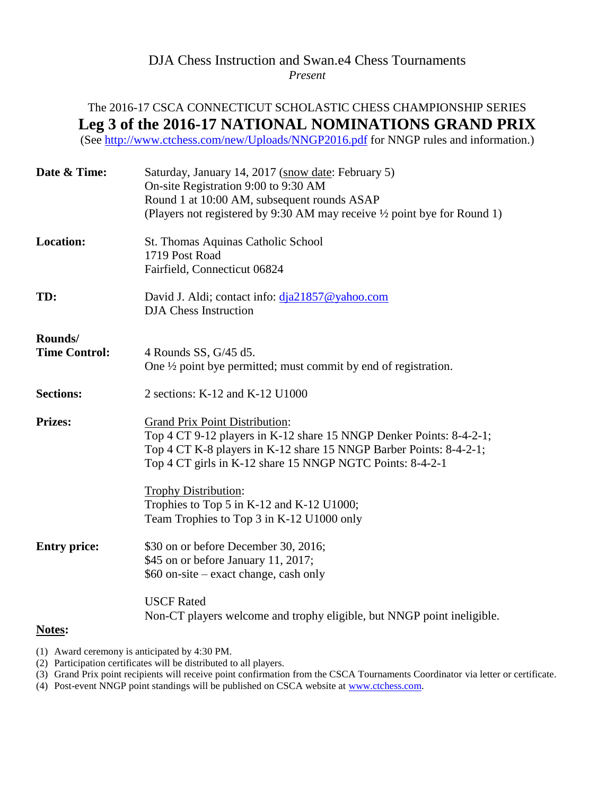## DJA Chess Instruction and Swan.e4 Chess Tournaments *Present*

## The 2016-17 CSCA CONNECTICUT SCHOLASTIC CHESS CHAMPIONSHIP SERIES **Leg 3 of the 2016-17 NATIONAL NOMINATIONS GRAND PRIX**

(See<http://www.ctchess.com/new/Uploads/NNGP2016.pdf> for NNGP rules and information.)

| Date & Time:         | Saturday, January 14, 2017 (snow date: February 5)<br>On-site Registration 9:00 to 9:30 AM<br>Round 1 at 10:00 AM, subsequent rounds ASAP<br>(Players not registered by 9:30 AM may receive 1/2 point bye for Round 1)                          |  |  |  |
|----------------------|-------------------------------------------------------------------------------------------------------------------------------------------------------------------------------------------------------------------------------------------------|--|--|--|
| <b>Location:</b>     | St. Thomas Aquinas Catholic School<br>1719 Post Road<br>Fairfield, Connecticut 06824                                                                                                                                                            |  |  |  |
| TD:                  | David J. Aldi; contact info: dja21857@yahoo.com<br><b>DJA</b> Chess Instruction                                                                                                                                                                 |  |  |  |
| Rounds/              |                                                                                                                                                                                                                                                 |  |  |  |
| <b>Time Control:</b> | 4 Rounds SS, G/45 d5.<br>One $\frac{1}{2}$ point bye permitted; must commit by end of registration.                                                                                                                                             |  |  |  |
| <b>Sections:</b>     | 2 sections: K-12 and K-12 U1000                                                                                                                                                                                                                 |  |  |  |
| <b>Prizes:</b>       | <b>Grand Prix Point Distribution:</b><br>Top 4 CT 9-12 players in K-12 share 15 NNGP Denker Points: 8-4-2-1;<br>Top 4 CT K-8 players in K-12 share 15 NNGP Barber Points: 8-4-2-1;<br>Top 4 CT girls in K-12 share 15 NNGP NGTC Points: 8-4-2-1 |  |  |  |
|                      | <b>Trophy Distribution:</b><br>Trophies to Top 5 in K-12 and K-12 U1000;<br>Team Trophies to Top 3 in K-12 U1000 only                                                                                                                           |  |  |  |
| <b>Entry price:</b>  | \$30 on or before December 30, 2016;<br>\$45 on or before January 11, 2017;<br>\$60 on-site – exact change, cash only                                                                                                                           |  |  |  |
| Notes:               | <b>USCF Rated</b><br>Non-CT players welcome and trophy eligible, but NNGP point ineligible.                                                                                                                                                     |  |  |  |

(1) Award ceremony is anticipated by 4:30 PM.

(2) Participation certificates will be distributed to all players.

(3) Grand Prix point recipients will receive point confirmation from the CSCA Tournaments Coordinator via letter or certificate.

(4) Post-event NNGP point standings will be published on CSCA website at [www.ctchess.com.](http://www.ctchess.com/)